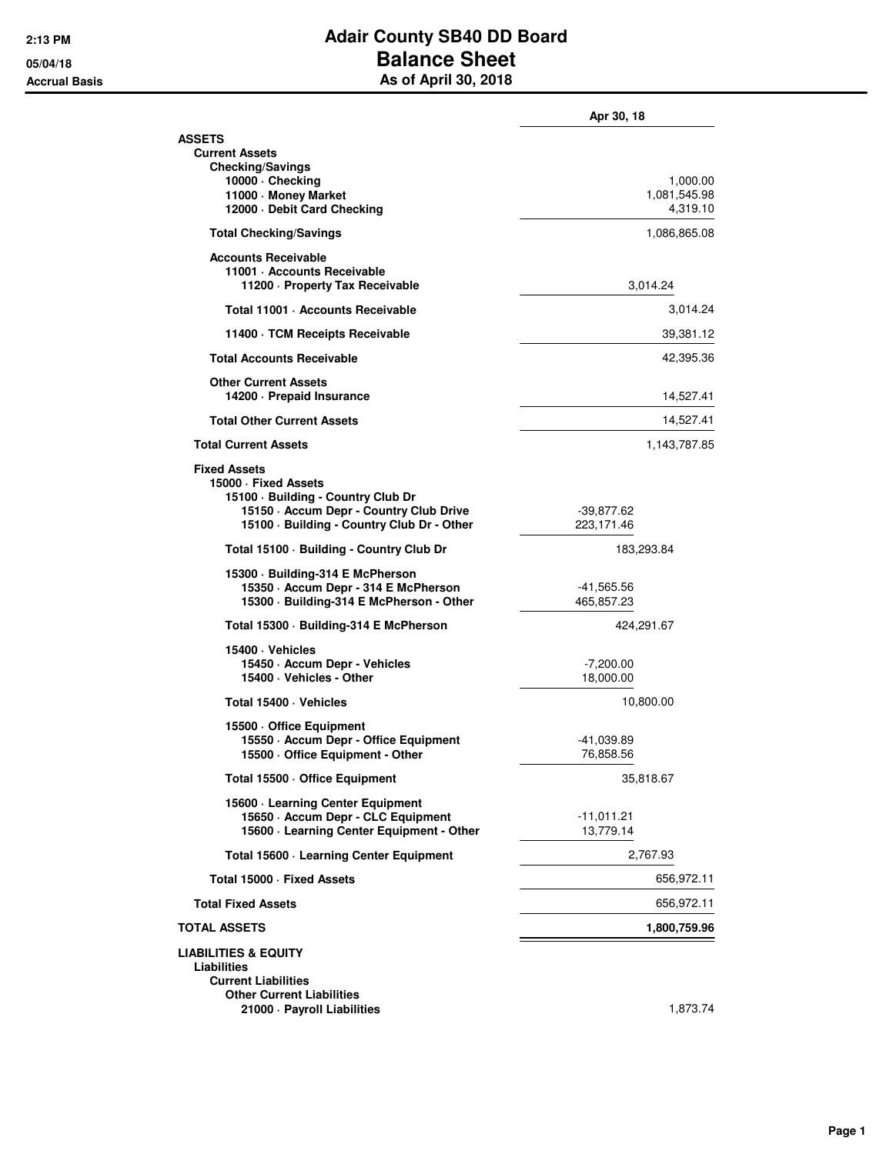## **2:13 PM Adair County SB40 DD Board 05/04/18 Balance Sheet Accrual Basis As of April 30, 2018**

|                                                                                                                                                                            | Apr 30, 18                           |
|----------------------------------------------------------------------------------------------------------------------------------------------------------------------------|--------------------------------------|
| <b>ASSETS</b><br><b>Current Assets</b>                                                                                                                                     |                                      |
| <b>Checking/Savings</b><br>10000 · Checking<br>11000 · Money Market<br>12000 - Debit Card Checking                                                                         | 1,000.00<br>1,081,545.98<br>4,319.10 |
| <b>Total Checking/Savings</b>                                                                                                                                              | 1,086,865.08                         |
| <b>Accounts Receivable</b><br>11001 · Accounts Receivable<br>11200 - Property Tax Receivable                                                                               | 3,014.24                             |
| Total 11001 · Accounts Receivable                                                                                                                                          | 3,014.24                             |
| 11400 · TCM Receipts Receivable                                                                                                                                            | 39,381.12                            |
| <b>Total Accounts Receivable</b>                                                                                                                                           | 42,395.36                            |
| <b>Other Current Assets</b><br>14200 · Prepaid Insurance                                                                                                                   | 14,527.41                            |
| <b>Total Other Current Assets</b>                                                                                                                                          | 14,527.41                            |
| <b>Total Current Assets</b>                                                                                                                                                | 1,143,787.85                         |
| <b>Fixed Assets</b><br>15000 · Fixed Assets<br>15100 · Building - Country Club Dr<br>15150 - Accum Depr - Country Club Drive<br>15100 · Building - Country Club Dr - Other | $-39,877.62$<br>223,171.46           |
| Total 15100 · Building - Country Club Dr                                                                                                                                   | 183,293.84                           |
| 15300 · Building-314 E McPherson<br>15350 - Accum Depr - 314 E McPherson<br>15300 · Building-314 E McPherson - Other                                                       | -41,565.56<br>465,857.23             |
| Total 15300 · Building-314 E McPherson                                                                                                                                     | 424,291.67                           |
| 15400 · Vehicles<br>15450 · Accum Depr - Vehicles<br>15400 · Vehicles - Other                                                                                              | $-7,200.00$<br>18,000.00             |
| Total 15400 · Vehicles                                                                                                                                                     | 10,800.00                            |
| 15500 Office Equipment<br>15550 · Accum Depr - Office Equipment<br>15500 Office Equipment - Other                                                                          | -41,039.89<br>76,858.56              |
| Total 15500 Office Equipment                                                                                                                                               | 35,818.67                            |
| 15600 · Learning Center Equipment<br>15650 · Accum Depr - CLC Equipment<br>15600 · Learning Center Equipment - Other                                                       | $-11,011.21$<br>13,779.14            |
| Total 15600 · Learning Center Equipment                                                                                                                                    | 2,767.93                             |
| Total 15000 · Fixed Assets                                                                                                                                                 | 656,972.11                           |
| <b>Total Fixed Assets</b>                                                                                                                                                  | 656,972.11                           |
| <b>TOTAL ASSETS</b>                                                                                                                                                        | 1,800,759.96                         |
| <b>LIABILITIES &amp; EQUITY</b><br>Liabilities<br><b>Current Liabilities</b><br><b>Other Current Liabilities</b>                                                           |                                      |
| 21000 · Payroll Liabilities                                                                                                                                                | 1,873.74                             |